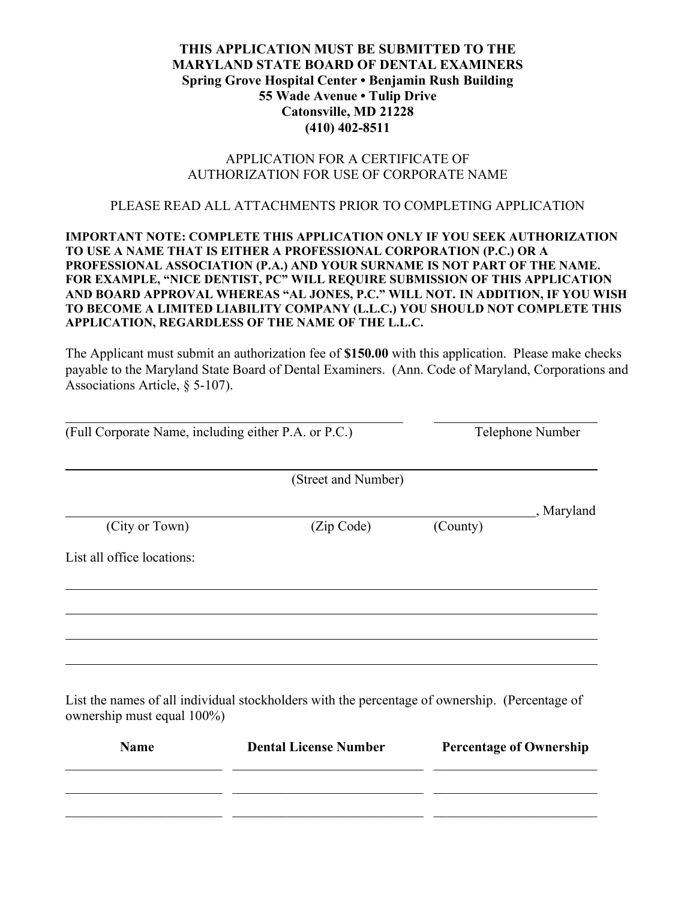## **THIS APPLICATION MUST BE SUBMITTED TO THE MARYLAND STATE BOARD OF DENTAL EXAMINERS Spring Grove Hospital Center • Benjamin Rush Building 55 Wade Avenue • Tulip Drive Catonsville, MD 21228 (410) 402-8511**

## APPLICATION FOR A CERTIFICATE OF AUTHORIZATION FOR USE OF CORPORATE NAME

## PLEASE READ ALL ATTACHMENTS PRIOR TO COMPLETING APPLICATION

## **IMPORTANT NOTE: COMPLETE THIS APPLICATION ONLY IF YOU SEEK AUTHORIZATION TO USE A NAME THAT IS EITHER A PROFESSIONAL CORPORATION (P.C.) OR A PROFESSIONAL ASSOCIATION (P.A.) AND YOUR SURNAME IS NOT PART OF THE NAME. FOR EXAMPLE, "NICE DENTIST, PC" WILL REQUIRE SUBMISSION OF THIS APPLICATION AND BOARD APPROVAL WHEREAS "AL JONES, P.C." WILL NOT. IN ADDITION, IF YOU WISH TO BECOME A LIMITED LIABILITY COMPANY (L.L.C.) YOU SHOULD NOT COMPLETE THIS APPLICATION, REGARDLESS OF THE NAME OF THE L.L.C.**

The Applicant must submit an authorization fee of **\$150.00** with this application. Please make checks payable to the Maryland State Board of Dental Examiners. (Ann. Code of Maryland, Corporations and Associations Article, § 5-107).

| (Full Corporate Name, including either P.A. or P.C.) |                                                                                                | Telephone Number               |            |
|------------------------------------------------------|------------------------------------------------------------------------------------------------|--------------------------------|------------|
|                                                      | (Street and Number)                                                                            |                                |            |
| (City or Town)                                       | (Zip Code)                                                                                     | (County)                       | , Maryland |
| List all office locations:                           |                                                                                                |                                |            |
|                                                      |                                                                                                |                                |            |
|                                                      |                                                                                                |                                |            |
| ownership must equal 100%)                           | List the names of all individual stockholders with the percentage of ownership. (Percentage of |                                |            |
| <b>Name</b>                                          | <b>Dental License Number</b>                                                                   | <b>Percentage of Ownership</b> |            |

 $\_$  , and the contribution of the contribution of  $\mathcal{L}_\mathcal{A}$  , and the contribution of  $\mathcal{L}_\mathcal{A}$ 

 $\_$  , and the contribution of the contribution of  $\mathcal{L}_\mathcal{A}$  , and the contribution of  $\mathcal{L}_\mathcal{A}$